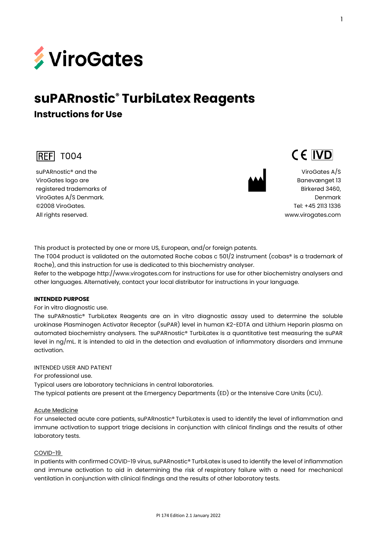

# **suPARnostic® TurbiLatex Reagents**

**Instructions for Use** 



suPARnostic® and the ViroGates logo are registered trademarks of ViroGates A/S Denmark. ©2008 ViroGates. All rights reserved.



CE IVD

ViroGates A/S Banevænget 13 Birkerød 3460, Denmark Tel: +45 2113 1336 [www.virogates.com](http://www.virogates.com/)

This product is protected by one or more US, European, and/or foreign patents. The T004 product is validated on the automated Roche cobas c 501/2 instrument (cobas® is a trademark of Roche), and this instruction for use is dedicated to this biochemistry analyser.

Refer to the webpage http://www.virogates.com for instructions for use for other biochemistry analysers and other languages. Alternatively, contact your local distributor for instructions in your language.

#### **INTENDED PURPOSE**

For in vitro diagnostic use.

The suPARnostic® TurbiLatex Reagents are an in vitro diagnostic assay used to determine the soluble urokinase Plasminogen Activator Receptor (suPAR) level in human K2-EDTA and Lithium Heparin plasma on automated biochemistry analysers. The suPARnostic® TurbiLatex is a quantitative test measuring the suPAR level in ng/mL. It is intended to aid in the detection and evaluation of inflammatory disorders and immune activation.

#### INTENDED USER AND PATIENT

For professional use.

Typical users are laboratory technicians in central laboratories.

The typical patients are present at the Emergency Departments (ED) or the Intensive Care Units (ICU).

#### Acute Medicine

For unselected acute care patients, suPARnostic® TurbiLatex is used to identify the level of inflammation and immune activation to support triage decisions in conjunction with clinical findings and the results of other laboratory tests.

#### COVID-19

In patients with confirmed COVID-19 virus, suPARnostic® TurbiLatex is used to identify the level of inflammation and immune activation to aid in determining the risk of respiratory failure with a need for mechanical ventilation in conjunction with clinical findings and the results of other laboratory tests.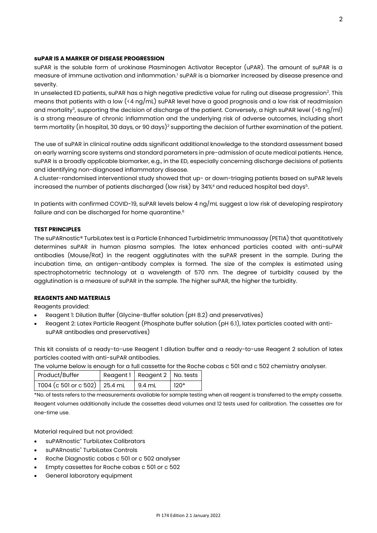#### **suPAR IS A MARKER OF DISEASE PROGRESSION**

suPAR is the soluble form of urokinase Plasminogen Activator Receptor (uPAR). The amount of suPAR is a measure of immune activation and inflammation.<sup>1</sup> suPAR is a biomarker increased by disease presence and severity.

In unselected ED patients, suPAR has a high negative predictive value for ruling out disease progression<sup>2</sup>. This means that patients with a low (<4 ng/mL) suPAR level have a good prognosis and a low risk of readmission and mortality<sup>3</sup>, supporting the decision of discharge of the patient. Conversely, a high suPAR level (>6 ng/ml) is a strong measure of chronic inflammation and the underlying risk of adverse outcomes, including short term mortality (in hospital, 30 days, or 90 days)<sup>2</sup> supporting the decision of further examination of the patient.

The use of suPAR in clinical routine adds significant additional knowledge to the standard assessment based on early warning score systems and standard parameters in pre-admission of acute medical patients. Hence, suPAR is a broadly applicable biomarker, e.g., in the ED, especially concerning discharge decisions of patients and identifying non-diagnosed inflammatory disease.

A cluster-randomised interventional study showed that up- or down-triaging patients based on suPAR levels increased the number of patients discharged (low risk) by 34%4 and reduced hospital bed days $^{\rm 5}$ .

In patients with confirmed COVID-19, suPAR levels below 4 ng/mL suggest a low risk of developing respiratory failure and can be discharged for home quarantine. $^{\rm 6}$ 

#### **TEST PRINCIPLES**

The suPARnostic® TurbiLatex test is a Particle Enhanced Turbidimetric Immunoassay (PETIA) that quantitatively determines suPAR in human plasma samples. The latex enhanced particles coated with anti-suPAR antibodies (Mouse/Rat) in the reagent agglutinates with the suPAR present in the sample. During the incubation time, an antigen-antibody complex is formed. The size of the complex is estimated using spectrophotometric technology at a wavelength of 570 nm. The degree of turbidity caused by the agglutination is a measure of suPAR in the sample. The higher suPAR, the higher the turbidity.

#### **REAGENTS AND MATERIALS**

Reagents provided:

- Reagent 1: Dilution Buffer (Glycine-Buffer solution (pH 8.2) and preservatives)
- Reagent 2: Latex Particle Reagent (Phosphate buffer solution (pH 6.1), latex particles coated with antisuPAR antibodies and preservatives)

This kit consists of a ready-to-use Reagent 1 dilution buffer and a ready-to-use Reagent 2 solution of latex particles coated with anti-suPAR antibodies.

The volume below is enough for a full cassette for the Roche cobas c 501 and c 502 chemistry analyser.

| Product/Buffer                  | Reagent 1   Reagent 2   No. tests |        |
|---------------------------------|-----------------------------------|--------|
| T004 (c 501 or c 502)   25.4 mL | $9.4$ mL                          | $120*$ |

\*No. of tests refers to the measurements available for sample testing when all reagent is transferred to the empty cassette. Reagent volumes additionally include the cassettes dead volumes and 12 tests used for calibration. The cassettes are for one-time use.

Material required but not provided:

- suPARnostic® TurbiLatex Calibrators
- suPARnostic<sup>®</sup> TurbiLatex Controls
- Roche Diagnostic cobas c 501 or c 502 analyser
- Empty cassettes for Roche cobas c 501 or c 502
- General laboratory equipment

2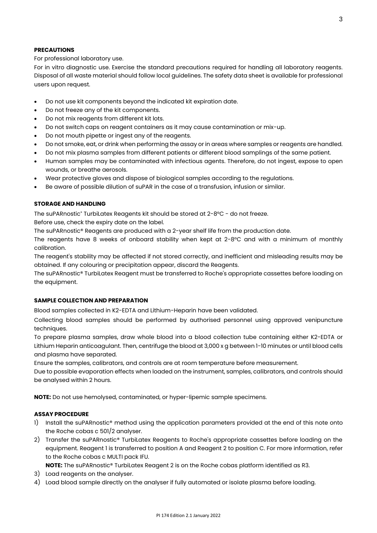#### **PRECAUTIONS**

For professional laboratory use.

For in vitro diagnostic use. Exercise the standard precautions required for handling all laboratory reagents. Disposal of all waste material should follow local guidelines. The safety data sheet is available for professional users upon request.

- Do not use kit components beyond the indicated kit expiration date.
- Do not freeze any of the kit components.
- Do not mix reagents from different kit lots.
- Do not switch caps on reagent containers as it may cause contamination or mix-up.
- Do not mouth pipette or ingest any of the reagents.
- Do not smoke, eat, or drink when performing the assay or in areas where samples or reagents are handled.
- Do not mix plasma samples from different patients or different blood samplings of the same patient.
- Human samples may be contaminated with infectious agents. Therefore, do not ingest, expose to open wounds, or breathe aerosols.
- Wear protective gloves and dispose of biological samples according to the regulations.
- Be aware of possible dilution of suPAR in the case of a transfusion, infusion or similar.

#### **STORAGE AND HANDLING**

The suPARnostic® TurbiLatex Reagents kit should be stored at 2-8°C - do not freeze.

Before use, check the expiry date on the label.

The suPARnostic® Reagents are produced with a 2-year shelf life from the production date.

The reagents have 8 weeks of onboard stability when kept at 2-8°C and with a minimum of monthly calibration.

The reagent's stability may be affected if not stored correctly, and inefficient and misleading results may be obtained. If any colouring or precipitation appear, discard the Reagents.

The suPARnostic® TurbiLatex Reagent must be transferred to Roche's appropriate cassettes before loading on the equipment.

#### **SAMPLE COLLECTION AND PREPARATION**

Blood samples collected in K2-EDTA and Lithium-Heparin have been validated.

Collecting blood samples should be performed by authorised personnel using approved venipuncture techniques.

To prepare plasma samples, draw whole blood into a blood collection tube containing either K2-EDTA or Lithium Heparin anticoagulant. Then, centrifuge the blood at 3,000 x g between 1-10 minutes or until blood cells and plasma have separated.

Ensure the samples, calibrators, and controls are at room temperature before measurement.

Due to possible evaporation effects when loaded on the instrument, samples, calibrators, and controls should be analysed within 2 hours.

**NOTE:** Do not use hemolysed, contaminated, or hyper-lipemic sample specimens.

#### **ASSAY PROCEDURE**

- 1) Install the suPARnostic® method using the application parameters provided at the end of this note onto the Roche cobas c 501/2 analyser.
- 2) Transfer the suPARnostic® TurbiLatex Reagents to Roche's appropriate cassettes before loading on the equipment. Reagent 1 is transferred to position A and Reagent 2 to position C. For more information, refer to the Roche cobas c MULTI pack IFU.

**NOTE:** The suPARnostic® TurbiLatex Reagent 2 is on the Roche cobas platform identified as R3.

- 3) Load reagents on the analyser.
- 4) Load blood sample directly on the analyser if fully automated or isolate plasma before loading.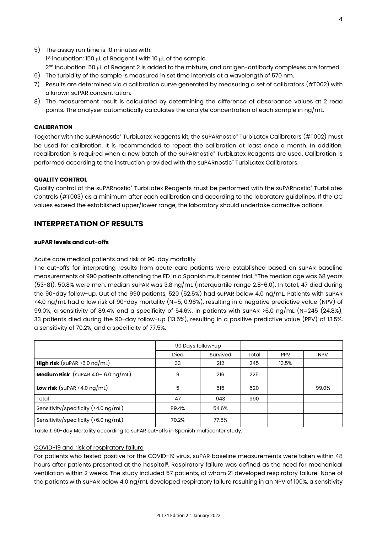- 5) The assay run time is 10 minutes with: 1 st incubation: 150 μL of Reagent 1 with 10 μL of the sample. 2nd incubation: 50  $\mu$ L of Reagent 2 is added to the mixture, and antigen-antibody complexes are formed.
- 6) The turbidity of the sample is measured in set time intervals at a wavelength of 570 nm.
- 7) Results are determined via a calibration curve generated by measuring a set of calibrators (#T002) with a known suPAR concentration.
- 8) The measurement result is calculated by determining the difference of absorbance values at 2 read points. The analyser automatically calculates the analyte concentration of each sample in ng/mL.

#### **CALIBRATION**

Together with the suPARnostic® TurbiLatex Reagents kit, the suPARnostic® TurbiLatex Calibrators (#T002) must be used for calibration. It is recommended to repeat the calibration at least once a month. In addition, recalibration is required when a new batch of the suPARnostic® TurbiLatex Reagents are used. Calibration is performed according to the instruction provided with the suPARnostic® TurbiLatex Calibrators.

#### **QUALITY CONTROL**

Quality control of the suPARnostic® TurbiLatex Reagents must be performed with the suPARnostic® TurbiLatex Controls (#T003) as a minimum after each calibration and according to the laboratory guidelines. If the QC values exceed the established upper/lower range, the laboratory should undertake corrective actions.

## **INTERPRETATION OF RESULTS**

#### **suPAR levels and cut-offs**

#### Acute care medical patients and risk of 90-day mortality

The cut-offs for interpreting results from acute care patients were established based on suPAR baseline measurements of 990 patients attending the ED in a Spanish multicenter trial.<sup>14</sup> The median age was 68 years (53-81), 50.8% were men, median suPAR was 3.8 ng/mL (Interquartile range 2.8-6.0). In total, 47 died during the 90-day follow-up. Out of the 990 patients, 520 (52.5%) had suPAR below 4.0 ng/mL. Patients with suPAR <4.0 ng/mL had a low risk of 90-day mortality (N=5, 0.96%), resulting in a negative predictive value (NPV) of 99.0%, a sensitivity of 89.4% and a specificity of 54.6%. In patients with suPAR >6.0 ng/mL (N=245 (24.8%), 33 patients died during the 90-day follow-up (13.5%), resulting in a positive predictive value (PPV) of 13.5%, a sensitivity of 70.2%, and a specificity of 77.5%.

|                                              | 90 Days follow-up |          |       |            |            |
|----------------------------------------------|-------------------|----------|-------|------------|------------|
|                                              | <b>Died</b>       | Survived | Total | <b>PPV</b> | <b>NPV</b> |
| <b>High risk</b> (suPAR $>6.0$ ng/mL)        | 33                | 212      | 245   | 13.5%      |            |
| <b>Medium Risk</b> (suPAR $4.0 - 6.0$ ng/mL) | 9                 | 216      | 225   |            |            |
| Low risk (suPAR $4.0 \text{ ng/mL}$ )        | 5                 | 515      | 520   |            | 99.0%      |
| Total                                        | 47                | 943      | 990   |            |            |
| Sensitivity/specificity $($ < 4.0 ng/mL)     | 89.4%             | 54.6%    |       |            |            |
| Sensitivity/specificity (>6.0 ng/mL)         | 70.2%             | 77.5%    |       |            |            |

Table 1: 90-day Mortality according to suPAR cut-offs in Spanish multicenter study.

#### COVID-19 and risk of respiratory failure

For patients who tested positive for the COVID-19 virus, suPAR baseline measurements were taken within 48 hours after patients presented at the hospital<sup>6</sup>. Respiratory failure was defined as the need for mechanical ventilation within 2 weeks. The study included 57 patients, of whom 21 developed respiratory failure. None of the patients with suPAR below 4.0 ng/mL developed respiratory failure resulting in an NPV of 100%, a sensitivity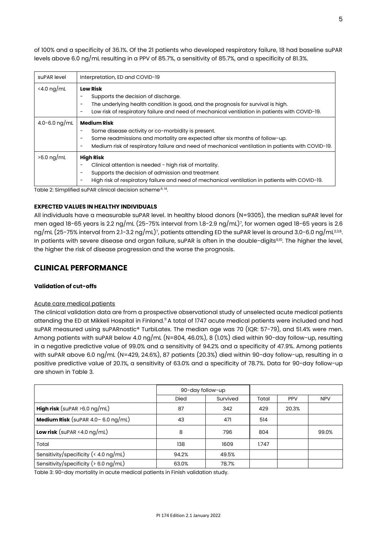of 100% and a specificity of 36.1%. Of the 21 patients who developed respiratory failure, 18 had baseline suPAR levels above 6.0 ng/mL resulting in a PPV of 85.7%, a sensitivity of 85.7%, and a specificity of 81.3%.

| suPAR level                 | Interpretation, ED and COVID-19                                                                                                                                                                                                                                                        |
|-----------------------------|----------------------------------------------------------------------------------------------------------------------------------------------------------------------------------------------------------------------------------------------------------------------------------------|
| $\langle 4.0 \text{ ng/mL}$ | <b>Low Risk</b><br>Supports the decision of discharge.<br>The underlying health condition is good, and the prognosis for survival is high.<br>Low risk of respiratory failure and need of mechanical ventilation in patients with COVID-19.                                            |
| 4.0-6.0 ng/mL               | <b>Medium Risk</b><br>Some disease activity or co-morbidity is present.<br>Some readmissions and mortality are expected after six months of follow-up.<br>$\overline{\phantom{0}}$<br>Medium risk of respiratory failure and need of mechanical ventilation in patients with COVID-19. |
| $>6.0$ ng/mL                | <b>High Risk</b><br>Clinical attention is needed - high risk of mortality.<br>Supports the decision of admission and treatment<br>High risk of respiratory failure and need of mechanical ventilation in patients with COVID-19.                                                       |

Table 2: Simplified suPAR clinical decision scheme<sup>,6, 14</sup>.

#### **EXPECTED VALUES IN HEALTHY INDIVIDUALS**

All individuals have a measurable suPAR level. In healthy blood donors (N=9305), the median suPAR level for men aged 18-65 years is 2.2 ng/mL (25-75% interval from 1.8-2.9 ng/mL)<sup>7</sup> , for women aged 18-65 years is 2.6 ng/mL (25-75% interval from 2.1-3.2 ng/mL)<sup>7</sup>, patients attending ED the suPAR level is around 3.0-6.0 ng/mL<sup>2,3,8</sup>. In patients with severe disease and organ failure, suPAR is often in the double-digits<sup>9,10</sup>. The higher the level, the higher the risk of disease progression and the worse the prognosis.

# **CLINICAL PERFORMANCE**

#### **Validation of cut-offs**

#### Acute care medical patients

The clinical validation data are from a prospective observational study of unselected acute medical patients attending the ED at Mikkeli Hospital in Finland." A total of 1747 acute medical patients were included and had suPAR measured using suPARnostic® TurbiLatex. The median age was 70 (IQR: 57-79), and 51.4% were men. Among patients with suPAR below 4.0 ng/mL (N=804, 46.0%), 8 (1.0%) died within 90-day follow-up, resulting in a negative predictive value of 99.0% and a sensitivity of 94.2% and a specificity of 47.9%. Among patients with suPAR above 6.0 ng/mL (N=429, 24.6%), 87 patients (20.3%) died within 90-day follow-up, resulting in a positive predictive value of 20.1%, a sensitivity of 63.0% and a specificity of 78.7%. Data for 90-day follow-up are shown in Table 3.

|                                       | 90-day follow-up |          |       |            |            |
|---------------------------------------|------------------|----------|-------|------------|------------|
|                                       | <b>Died</b>      | Survived | Total | <b>PPV</b> | <b>NPV</b> |
| <b>High risk</b> (suPAR $>6.0$ ng/mL) | 87               | 342      | 429   | 20.3%      |            |
| Medium Risk (suPAR $4.0 - 6.0$ ng/mL) | 43               | 471      | 514   |            |            |
| Low risk (suPAR $4.0 \text{ ng/mL}$ ) | 8                | 796      | 804   |            | 99.0%      |
| Total                                 | 138              | 1609     | 1.747 |            |            |
| Sensitivity/specificity (< 4.0 ng/mL) | 94.2%            | 49.5%    |       |            |            |
| Sensitivity/specificity (> 6.0 ng/mL) | 63.0%            | 78.7%    |       |            |            |

Table 3: 90-day mortality in acute medical patients in Finish validation study.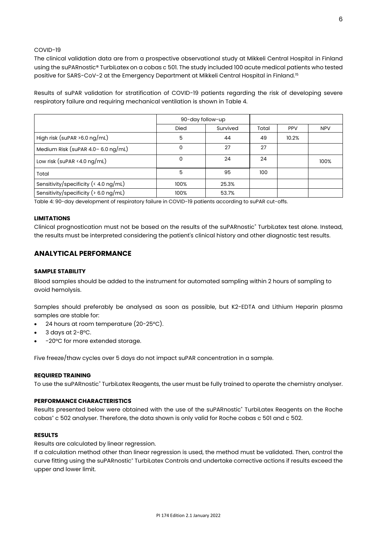#### COVID-19

The clinical validation data are from a prospective observational study at Mikkeli Central Hospital in Finland using the suPARnostic® TurbiLatex on a cobas c 501. The study included 100 acute medical patients who tested positive for SARS-CoV-2 at the Emergency Department at Mikkeli Central Hospital in Finland.<sup>15</sup>

Results of suPAR validation for stratification of COVID-19 patients regarding the risk of developing severe respiratory failure and requiring mechanical ventilation is shown in Table 4.

|                                          | 90-day follow-up |          |       |            |            |
|------------------------------------------|------------------|----------|-------|------------|------------|
|                                          | <b>Died</b>      | Survived | Total | <b>PPV</b> | <b>NPV</b> |
| High risk (suPAR $>6.0$ ng/mL)           | 5                | 44       | 49    | 10.2%      |            |
| Medium Risk (suPAR 4.0-6.0 ng/mL)        | 0                | 27       | 27    |            |            |
| Low risk (suPAR <4.0 $\log/mL$ )         | 0                | 24       | 24    |            | 100%       |
| Total                                    | 5                | 95       | 100   |            |            |
| Sensitivity/specificity (< 4.0 ng/mL)    | 100%             | 25.3%    |       |            |            |
| Sensitivity/specificity ( $> 6.0$ ng/mL) | 100%             | 53.7%    |       |            |            |

Table 4: 90-day development of respiratory failure in COVID-19 patients according to suPAR cut-offs.

#### **LIMITATIONS**

Clinical prognostication must not be based on the results of the suPARnostic® TurbiLatex test alone. Instead, the results must be interpreted considering the patient's clinical history and other diagnostic test results.

### **ANALYTICAL PERFORMANCE**

#### **SAMPLE STABILITY**

Blood samples should be added to the instrument for automated sampling within 2 hours of sampling to avoid hemolysis.

Samples should preferably be analysed as soon as possible, but K2-EDTA and Lithium Heparin plasma samples are stable for:

- 24 hours at room temperature (20-25°C).
- 3 days at  $2-8$ °C.
- -20°C for more extended storage.

Five freeze/thaw cycles over 5 days do not impact suPAR concentration in a sample.

#### **REQUIRED TRAINING**

To use the suPARnostic® TurbiLatex Reagents, the user must be fully trained to operate the chemistry analyser.

#### **PERFORMANCE CHARACTERISTICS**

Results presented below were obtained with the use of the suPARnostic® TurbiLatex Reagents on the Roche cobas<sup>®</sup> c 502 analyser. Therefore, the data shown is only valid for Roche cobas c 501 and c 502.

#### **RESULTS**

Results are calculated by linear regression.

If a calculation method other than linear regression is used, the method must be validated. Then, control the curve fitting using the suPARnostic® TurbiLatex Controls and undertake corrective actions if results exceed the upper and lower limit.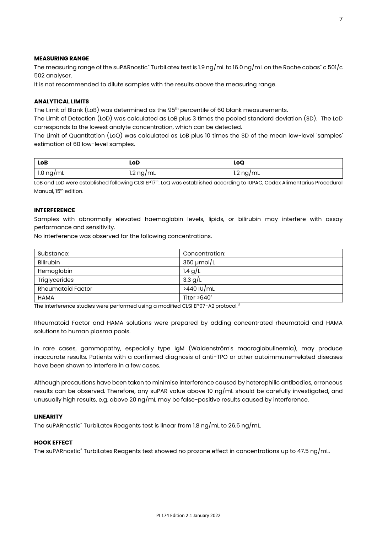#### **MEASURING RANGE**

The measuring range of the suPARnostic® TurbiLatex test is 1.9 ng/mL to 16.0 ng/mL on the Roche cobas® c 501/c 502 analyser.

It is not recommended to dilute samples with the results above the measuring range.

#### **ANALYTICAL LIMITS**

The Limit of Blank (LoB) was determined as the 95th percentile of 60 blank measurements.

The Limit of Detection (LoD) was calculated as LoB plus 3 times the pooled standard deviation (SD). The LoD corresponds to the lowest analyte concentration, which can be detected.

The Limit of Quantitation (LoQ) was calculated as LoB plus 10 times the SD of the mean low-level 'samples' estimation of 60 low-level samples.

| LoB<br>LoD          |                     | LoQ                 |
|---------------------|---------------------|---------------------|
| $1.0 \text{ ng/mL}$ | $1.2 \text{ ng/mL}$ | $1.2 \text{ ng/mL}$ |

LoB and LoD were established following CLSI EP17<sup>13</sup>. LoQ was established according to IUPAC, Codex Alimentarius Procedural Manual, 15<sup>th</sup> edition.

#### **INTERFERENCE**

Samples with abnormally elevated haemoglobin levels, lipids, or bilirubin may interfere with assay performance and sensitivity.

No interference was observed for the following concentrations.

| Substance:               | Concentration:     |
|--------------------------|--------------------|
| <b>Bilirubin</b>         | $350 \mu$ mol/L    |
| Hemoglobin               | 1.4 $g/L$          |
| Triglycerides            | 3.3 $g/L$          |
| <b>Rheumatoid Factor</b> | >440 IU/mL         |
| <b>HAMA</b>              | Titer $>640^\circ$ |

The interference studies were performed using a modified CLSI EP07-A2 protocol.<sup>13</sup>

Rheumatoid Factor and HAMA solutions were prepared by adding concentrated rheumatoid and HAMA solutions to human plasma pools.

In rare cases, gammopathy, especially type IgM (Waldenström's macroglobulinemia), may produce inaccurate results. Patients with a confirmed diagnosis of anti-TPO or other autoimmune-related diseases have been shown to interfere in a few cases.

Although precautions have been taken to minimise interference caused by heterophilic antibodies, erroneous results can be observed. Therefore, any suPAR value above 10 ng/mL should be carefully investigated, and unusually high results, e.g. above 20 ng/mL may be false-positive results caused by interference.

#### **LINEARITY**

The suPARnostic® TurbiLatex Reagents test is linear from 1.8 ng/mL to 26.5 ng/mL.

#### **HOOK EFFECT**

The suPARnostic® TurbiLatex Reagents test showed no prozone effect in concentrations up to 47.5 ng/mL.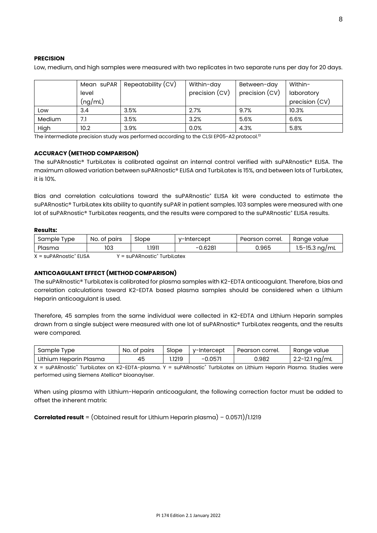#### **PRECISION**

Low, medium, and high samples were measured with two replicates in two separate runs per day for 20 days.

|        | Mean suPAR | Repeatability (CV) | Within-day     | Between-day    | Within-        |
|--------|------------|--------------------|----------------|----------------|----------------|
|        | level      |                    | precision (CV) | precision (CV) | laboratory     |
|        | (nq/mL)    |                    |                |                | precision (CV) |
| Low    | 3.4        | 3.5%               | 2.7%           | 9.7%           | 10.3%          |
| Medium | 7.1        | 3.5%               | 3.2%           | 5.6%           | 6.6%           |
| High   | 10.2       | 3.9%               | 0.0%           | 4.3%           | 5.8%           |

The intermediate precision study was performed according to the CLSI EP05-A2 protocol.<sup>13</sup>

#### **ACCURACY (METHOD COMPARISON)**

The suPARnostic® TurbiLatex is calibrated against an internal control verified with suPARnostic® ELISA. The maximum allowed variation between suPARnostic® ELISA and TurbiLatex is 15%, and between lots of TurbiLatex, it is 10%.

Bias and correlation calculations toward the suPARnostic<sup>®</sup> ELISA kit were conducted to estimate the suPARnostic® TurbiLatex kits ability to quantify suPAR in patient samples. 103 samples were measured with one lot of suPARnostic® TurbiLatex reagents, and the results were compared to the suPARnostic® ELISA results.

#### **Results:**

| Tvpe<br>Sample | No.<br>. of pairs | Slope | v-Intercept | Pearson correl. | Ranae value        |
|----------------|-------------------|-------|-------------|-----------------|--------------------|
| Plasma         | 103               | .1911 | .6281<br>-  | 0.965           | $1.5 - 15.3$ ng/mL |

 $X = \text{sup}$ ARnostic<sup>®</sup> ELISA  $Y = \text{sup}$ ARnostic<sup>®</sup> TurbiLatex

#### **ANTICOAGULANT EFFECT (METHOD COMPARISON)**

The suPARnostic® TurbiLatex is calibrated for plasma samples with K2-EDTA anticoagulant. Therefore, bias and correlation calculations toward K2-EDTA based plasma samples should be considered when a Lithium Heparin anticoagulant is used.

Therefore, 45 samples from the same individual were collected in K2-EDTA and Lithium Heparin samples drawn from a single subject were measured with one lot of suPARnostic® TurbiLatex reagents, and the results were compared.

| Sample<br>Type         | No. of pairs | Slope  | v-Intercept | Pearson correl. | Ranae value        |  |
|------------------------|--------------|--------|-------------|-----------------|--------------------|--|
| Lithium Heparin Plasma | 45           | 1219.، | $-0.057$    | 0.982           | $2.2 - 12.1$ ng/mL |  |

X = suPARnostic® TurbiLatex on K2-EDTA-plasma. Y = suPARnostic® TurbiLatex on Lithium Heparin Plasma. Studies were performed using Siemens Atellica® bioanaylser.

When using plasma with Lithium-Heparin anticoagulant, the following correction factor must be added to offset the inherent matrix:

**Correlated result** = (Obtained result for Lithium Heparin plasma) – 0.0571)/1.1219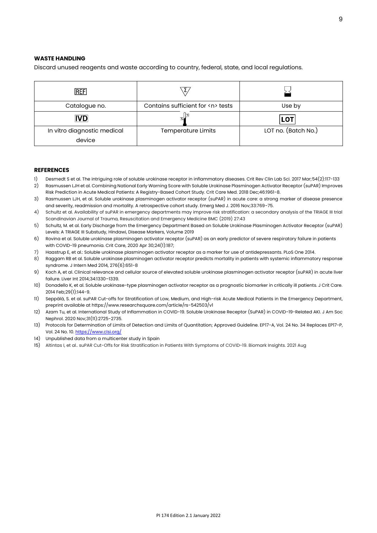#### **WASTE HANDLING**

Discard unused reagents and waste according to country, federal, state, and local regulations.

| <b>REF</b>                            |                                       |                     |
|---------------------------------------|---------------------------------------|---------------------|
| Catalogue no.                         | Contains sufficient for <n> tests</n> | Use by              |
| <b>IVD</b>                            |                                       | LOT                 |
| In vitro diagnostic medical<br>device | <b>Temperature Limits</b>             | LOT no. (Batch No.) |

#### **REFERENCES**

- 1) Desmedt S et al. The intriguing role of soluble urokinase receptor in inflammatory diseases. Crit Rev Clin Lab Sci. 2017 Mar;54(2):117-133
- 2) Rasmussen LJH et al. Combining National Early Warning Score with Soluble Urokinase Plasminogen Activator Receptor (suPAR) Improves Risk Prediction in Acute Medical Patients: A Registry-Based Cohort Study. Crit Care Med. 2018 Dec;46:1961-8.
- 3) Rasmussen LJH, et al. Soluble urokinase plasminogen activator receptor (suPAR) in acute care: a strong marker of disease presence and severity, readmission and mortality. A retrospective cohort study. Emerg Med J. 2016 Nov;33:769-75.
- 4) Schultz et al. Availability of suPAR in emergency departments may improve risk stratification: a secondary analysis of the TRIAGE III trial Scandinavian Journal of Trauma, Resuscitation and Emergency Medicine BMC (2019) 27:43
- 5) Schultz, M. et al. Early Discharge from the Emergency Department Based on Soluble Urokinase Plasminogen Activator Receptor (suPAR) Levels: A TRIAGE III Substudy, Hindawi, Disease Markers, Volume 2019
- 6) Rovina et al. Soluble urokinase plasminogen activator receptor (suPAR) as an early predictor of severe respiratory failure in patients with COVID-19 pneumonia. Crit Care, 2020 Apr 30;24(1):187;
- 7) Haastrup E, et al.: Soluble urokinase plasminogen activator receptor as a marker for use of antidepressants. PLoS One 2014.
- 8) Raggam RB et al. Soluble urokinase plasminogen activator receptor predicts mortality in patients with systemic inflammatory response syndrome. J Intern Med 2014, 276(6):651-8
- 9) Koch A, et al. Clinical relevance and cellular source of elevated soluble urokinase plasminogen activator receptor (suPAR) in acute liver failure. Liver Int 2014;34:1330–1339.
- 10) Donadello K, et al. Soluble urokinase-type plasminogen activator receptor as a prognostic biomarker in critically ill patients. J Crit Care. 2014 Feb;29(1):144-9.
- 11) Seppälä, S. et al. suPAR Cut-offs for Stratification of Low, Medium, and High-risk Acute Medical Patients in the Emergency Department, preprint available at https://www.researchsquare.com/article/rs-542503/v1
- 12) Azam Tu, et al. International Study of Inflammation in COVID-19. Soluble Urokinase Receptor (SuPAR) in COVID-19-Related AKI. J Am Soc Nephrol. 2020 Nov;31(11):2725-2735.
- 13) Protocols for Determination of Limits of Detection and Limits of Quantitation; Approved Guideline. EP17-A, Vol. 24 No. 34 Replaces EP17-P, Vol. 24 No. 10[. https://www.clsi.org/](https://www.clsi.org/)
- 14) Unpublished data from a multicenter study in Spain
- 15) Altintas I, et al.. suPAR Cut-Offs for Risk Stratification in Patients With Symptoms of COVID-19. Biomark Insights. 2021 Aug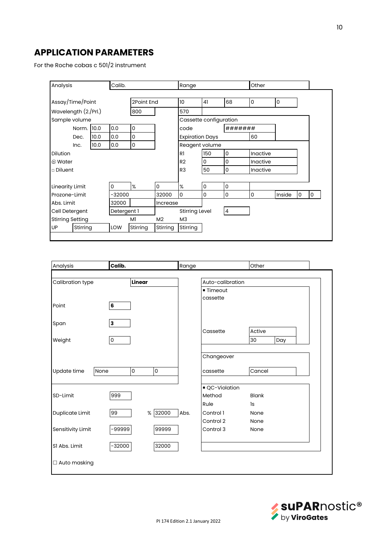# **APPLICATION PARAMETERS**

For the Roche cobas c 501/2 instrument

|                                | Calib.<br>Analysis      |  |             |          | Range                  |                        |             | Other          |          |        |   |   |
|--------------------------------|-------------------------|--|-------------|----------|------------------------|------------------------|-------------|----------------|----------|--------|---|---|
|                                |                         |  |             |          |                        |                        |             |                |          |        |   |   |
| Assay/Time/Point<br>2Point End |                         |  |             | 10       | 41                     | 68                     | $\mathbf 0$ | 0              |          |        |   |   |
| Wavelength (2./Prl.)<br>800    |                         |  |             | 570      |                        |                        |             |                |          |        |   |   |
|                                | Sample volume           |  |             |          |                        | Cassette configuration |             |                |          |        |   |   |
| 10.0<br>0.0<br>0<br>Norm.      |                         |  |             | code     |                        | #######                |             |                |          |        |   |   |
| 0.0<br>0<br>10.0<br>Dec.       |                         |  |             |          | <b>Expiration Days</b> |                        |             | 60             |          |        |   |   |
| 10.0<br>0.0<br>0<br>Inc.       |                         |  |             |          | Reagent volume         |                        |             |                |          |        |   |   |
| <b>Dilution</b>                |                         |  |             |          |                        | R <sub>1</sub>         | 150         | O              | Inactive |        |   |   |
| tit Water                      |                         |  |             |          |                        | R <sub>2</sub>         | 0           | 0              | Inactive |        |   |   |
| □ Diluent                      |                         |  |             |          |                        | R <sub>3</sub>         | 50          | 0              | Inactive |        |   |   |
|                                |                         |  |             |          |                        |                        |             |                |          |        |   |   |
|                                | <b>Linearity Limit</b>  |  | 0           | %        | $\mathbf 0$            | %                      | 0           | 0              |          |        |   |   |
|                                | Prozone-Limit           |  | -32000      |          | 32000                  | $\Omega$               | 0           | 0              | 0        | Inside | 0 | 0 |
| Abs. Limit                     |                         |  | 32000       |          | Increase               |                        |             |                |          |        |   |   |
|                                | Cell Detergent          |  | Detergent 1 |          |                        | <b>Stirring Level</b>  |             | $\overline{4}$ |          |        |   |   |
|                                | <b>Stirring Setting</b> |  |             | M1       | M <sub>2</sub>         | M <sub>3</sub>         |             |                |          |        |   |   |
| UP                             | Stirring                |  | LOW         | Stirring | Stirring               | Stirring               |             |                |          |        |   |   |

| Analysis                   | Calib.              |   | Range   |                  | Other                            |                    |     |  |
|----------------------------|---------------------|---|---------|------------------|----------------------------------|--------------------|-----|--|
| Linear<br>Calibration type |                     |   |         | Auto-calibration |                                  |                    |     |  |
| Point                      | 6                   |   |         |                  | ■ Timeout<br>cassette            |                    |     |  |
| Span                       | 3                   |   |         |                  |                                  |                    |     |  |
| Weight                     | $\mathsf{O}\xspace$ |   |         |                  | Cassette                         | Active<br>30       | Day |  |
|                            |                     |   |         |                  | Changeover                       |                    |     |  |
| Update time<br>None        |                     | 0 | 0       |                  | cassette                         | Cancel             |     |  |
| SD-Limit                   | 999                 |   |         |                  | ■ QC-Violation<br>Method<br>Rule | <b>Blank</b><br>1s |     |  |
| Duplicate Limit            | 99                  |   | % 32000 | Abs.             | Control 1<br>Control 2           | None<br>None       |     |  |
| Sensitivity Limit          | -99999              |   | 99999   |                  | Control 3                        | None               |     |  |
| S1 Abs. Limit              | $-32000$            |   | 32000   |                  |                                  |                    |     |  |
| □ Auto masking             |                     |   |         |                  |                                  |                    |     |  |